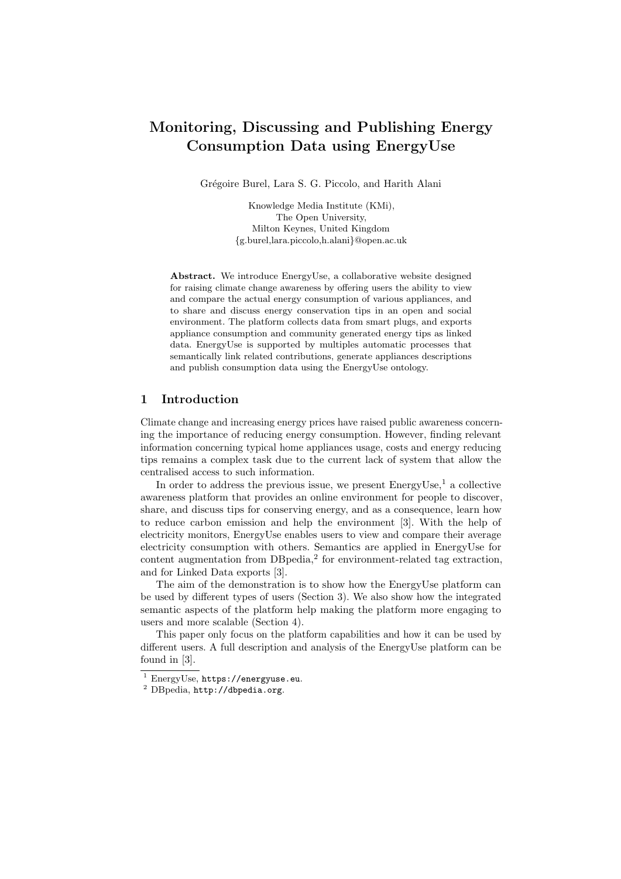# Monitoring, Discussing and Publishing Energy Consumption Data using EnergyUse

Grégoire Burel, Lara S. G. Piccolo, and Harith Alani

Knowledge Media Institute (KMi), The Open University, Milton Keynes, United Kingdom {g.burel,lara.piccolo,h.alani}@open.ac.uk

Abstract. We introduce EnergyUse, a collaborative website designed for raising climate change awareness by offering users the ability to view and compare the actual energy consumption of various appliances, and to share and discuss energy conservation tips in an open and social environment. The platform collects data from smart plugs, and exports appliance consumption and community generated energy tips as linked data. EnergyUse is supported by multiples automatic processes that semantically link related contributions, generate appliances descriptions and publish consumption data using the EnergyUse ontology.

# 1 Introduction

Climate change and increasing energy prices have raised public awareness concerning the importance of reducing energy consumption. However, finding relevant information concerning typical home appliances usage, costs and energy reducing tips remains a complex task due to the current lack of system that allow the centralised access to such information.

In order to address the previous issue, we present  $EnergyUse, 1$  a collective awareness platform that provides an online environment for people to discover, share, and discuss tips for conserving energy, and as a consequence, learn how to reduce carbon emission and help the environment [3]. With the help of electricity monitors, EnergyUse enables users to view and compare their average electricity consumption with others. Semantics are applied in EnergyUse for content augmentation from  $DBpedia<sub>1</sub><sup>2</sup>$  for environment-related tag extraction, and for Linked Data exports [3].

The aim of the demonstration is to show how the EnergyUse platform can be used by different types of users (Section 3). We also show how the integrated semantic aspects of the platform help making the platform more engaging to users and more scalable (Section 4).

This paper only focus on the platform capabilities and how it can be used by different users. A full description and analysis of the EnergyUse platform can be found in [3].

<sup>1</sup> EnergyUse, https://energyuse.eu.

<sup>2</sup> DBpedia, http://dbpedia.org.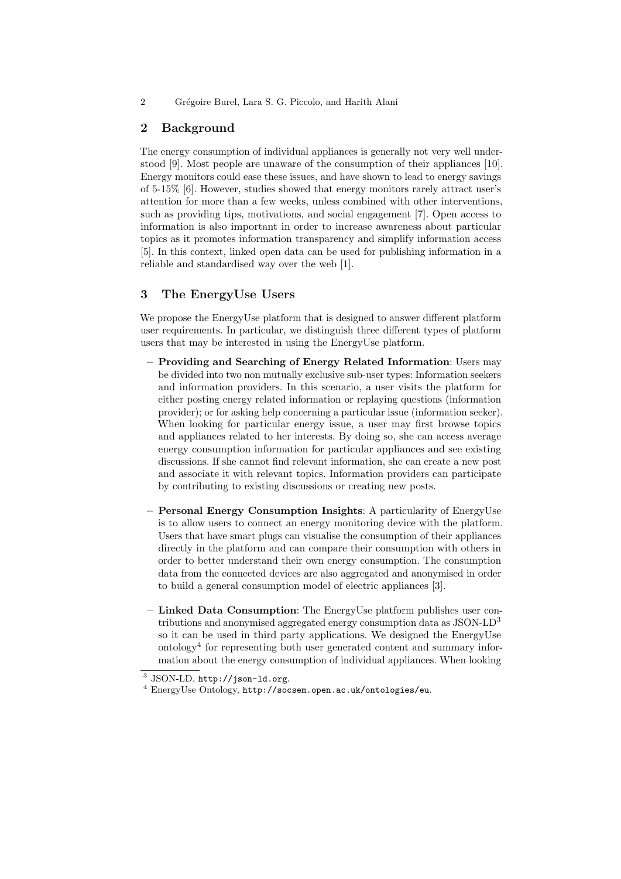2 Grégoire Burel, Lara S. G. Piccolo, and Harith Alani

# 2 Background

The energy consumption of individual appliances is generally not very well understood [9]. Most people are unaware of the consumption of their appliances [10]. Energy monitors could ease these issues, and have shown to lead to energy savings of 5-15% [6]. However, studies showed that energy monitors rarely attract user's attention for more than a few weeks, unless combined with other interventions, such as providing tips, motivations, and social engagement [7]. Open access to information is also important in order to increase awareness about particular topics as it promotes information transparency and simplify information access [5]. In this context, linked open data can be used for publishing information in a reliable and standardised way over the web [1].

# 3 The EnergyUse Users

We propose the EnergyUse platform that is designed to answer different platform user requirements. In particular, we distinguish three different types of platform users that may be interested in using the EnergyUse platform.

- Providing and Searching of Energy Related Information: Users may be divided into two non mutually exclusive sub-user types: Information seekers and information providers. In this scenario, a user visits the platform for either posting energy related information or replaying questions (information provider); or for asking help concerning a particular issue (information seeker). When looking for particular energy issue, a user may first browse topics and appliances related to her interests. By doing so, she can access average energy consumption information for particular appliances and see existing discussions. If she cannot find relevant information, she can create a new post and associate it with relevant topics. Information providers can participate by contributing to existing discussions or creating new posts.
- Personal Energy Consumption Insights: A particularity of EnergyUse is to allow users to connect an energy monitoring device with the platform. Users that have smart plugs can visualise the consumption of their appliances directly in the platform and can compare their consumption with others in order to better understand their own energy consumption. The consumption data from the connected devices are also aggregated and anonymised in order to build a general consumption model of electric appliances [3].
- Linked Data Consumption: The EnergyUse platform publishes user contributions and anonymised aggregated energy consumption data as JSON-LD<sup>3</sup> so it can be used in third party applications. We designed the EnergyUse ontology<sup>4</sup> for representing both user generated content and summary information about the energy consumption of individual appliances. When looking

 $^3$  JSON-LD, http://json-1d.org.

 $^4$  EnergyUse Ontology,  ${\tt http://socsem.open.ac.uk/ontologies/eu.}$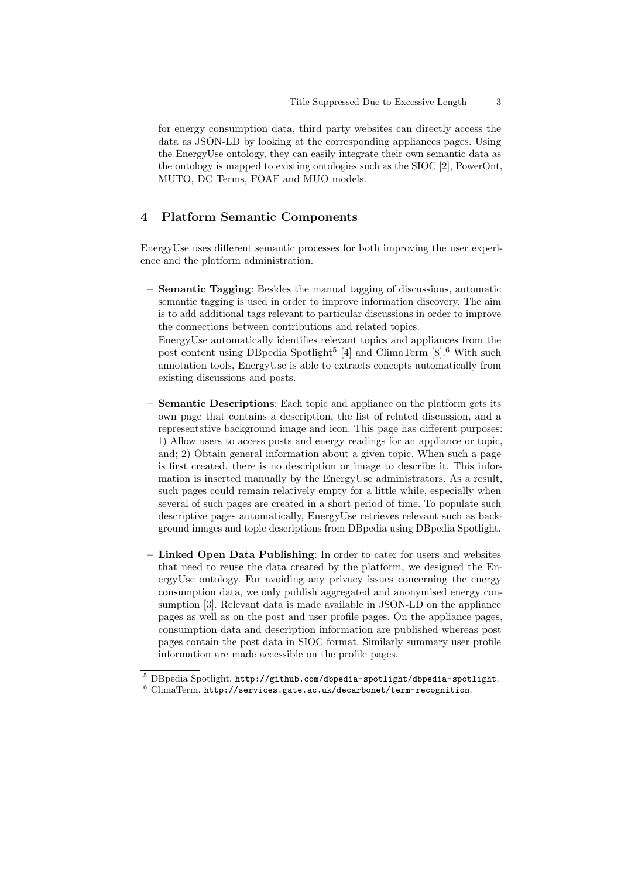for energy consumption data, third party websites can directly access the data as JSON-LD by looking at the corresponding appliances pages. Using the EnergyUse ontology, they can easily integrate their own semantic data as the ontology is mapped to existing ontologies such as the SIOC [2], PowerOnt, MUTO, DC Terms, FOAF and MUO models.

# 4 Platform Semantic Components

EnergyUse uses different semantic processes for both improving the user experience and the platform administration.

– Semantic Tagging: Besides the manual tagging of discussions, automatic semantic tagging is used in order to improve information discovery. The aim is to add additional tags relevant to particular discussions in order to improve the connections between contributions and related topics.

EnergyUse automatically identifies relevant topics and appliances from the post content using DB pedia Spotlight<sup>5</sup> [4] and ClimaTerm [8].<sup>6</sup> With such annotation tools, EnergyUse is able to extracts concepts automatically from existing discussions and posts.

- Semantic Descriptions: Each topic and appliance on the platform gets its own page that contains a description, the list of related discussion, and a representative background image and icon. This page has different purposes: 1) Allow users to access posts and energy readings for an appliance or topic, and; 2) Obtain general information about a given topic. When such a page is first created, there is no description or image to describe it. This information is inserted manually by the EnergyUse administrators. As a result, such pages could remain relatively empty for a little while, especially when several of such pages are created in a short period of time. To populate such descriptive pages automatically, EnergyUse retrieves relevant such as background images and topic descriptions from DBpedia using DBpedia Spotlight.
- Linked Open Data Publishing: In order to cater for users and websites that need to reuse the data created by the platform, we designed the EnergyUse ontology. For avoiding any privacy issues concerning the energy consumption data, we only publish aggregated and anonymised energy consumption [3]. Relevant data is made available in JSON-LD on the appliance pages as well as on the post and user profile pages. On the appliance pages, consumption data and description information are published whereas post pages contain the post data in SIOC format. Similarly summary user profile information are made accessible on the profile pages.

<sup>5</sup> DBpedia Spotlight, http://github.com/dbpedia-spotlight/dbpedia-spotlight.

 $6$  ClimaTerm, http://services.gate.ac.uk/decarbonet/term-recognition.